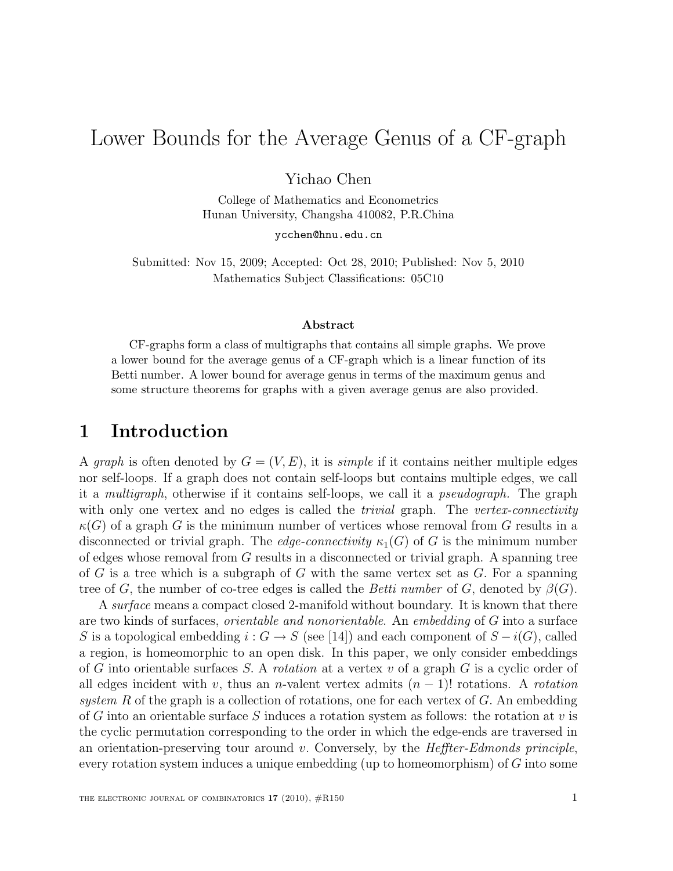# Lower Bounds for the Average Genus of a CF-graph

Yichao Chen

College of Mathematics and Econometrics Hunan University, Changsha 410082, P.R.China

ycchen@hnu.edu.cn

Submitted: Nov 15, 2009; Accepted: Oct 28, 2010; Published: Nov 5, 2010 Mathematics Subject Classifications: 05C10

#### Abstract

CF-graphs form a class of multigraphs that contains all simple graphs. We prove a lower bound for the average genus of a CF-graph which is a linear function of its Betti number. A lower bound for average genus in terms of the maximum genus and some structure theorems for graphs with a given average genus are also provided.

### 1 Introduction

A graph is often denoted by  $G = (V, E)$ , it is *simple* if it contains neither multiple edges nor self-loops. If a graph does not contain self-loops but contains multiple edges, we call it a multigraph, otherwise if it contains self-loops, we call it a pseudograph. The graph with only one vertex and no edges is called the *trivial* graph. The *vertex-connectivity*  $\kappa(G)$  of a graph G is the minimum number of vertices whose removal from G results in a disconnected or trivial graph. The edge-connectivity  $\kappa_1(G)$  of G is the minimum number of edges whose removal from G results in a disconnected or trivial graph. A spanning tree of G is a tree which is a subgraph of G with the same vertex set as  $G$ . For a spanning tree of G, the number of co-tree edges is called the *Betti number* of G, denoted by  $\beta(G)$ .

A surface means a compact closed 2-manifold without boundary. It is known that there are two kinds of surfaces, orientable and nonorientable. An embedding of G into a surface S is a topological embedding  $i: G \to S$  (see [14]) and each component of  $S - i(G)$ , called a region, is homeomorphic to an open disk. In this paper, we only consider embeddings of G into orientable surfaces S. A *rotation* at a vertex v of a graph G is a cyclic order of all edges incident with v, thus an n-valent vertex admits  $(n-1)!$  rotations. A rotation system R of the graph is a collection of rotations, one for each vertex of  $G$ . An embedding of G into an orientable surface S induces a rotation system as follows: the rotation at  $v$  is the cyclic permutation corresponding to the order in which the edge-ends are traversed in an orientation-preserving tour around v. Conversely, by the  $H$ effter-Edmonds principle, every rotation system induces a unique embedding (up to homeomorphism) of G into some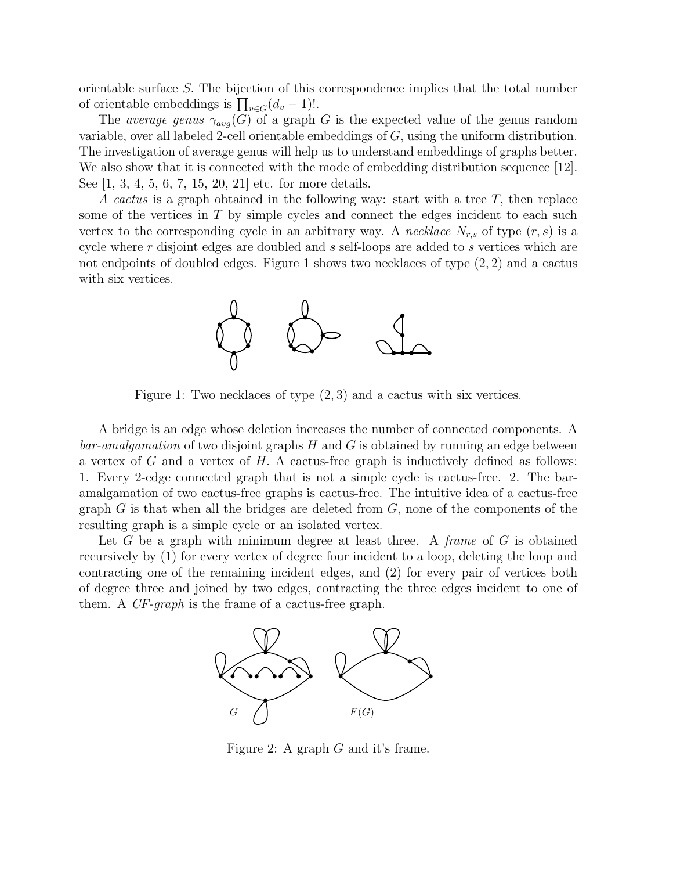orientable surface S. The bijection of this correspondence implies that the total number of orientable embeddings is  $\prod_{v \in G} (d_v - 1)!$ .

The *average genus*  $\gamma_{avg}(G)$  of a graph G is the expected value of the genus random variable, over all labeled 2-cell orientable embeddings of G, using the uniform distribution. The investigation of average genus will help us to understand embeddings of graphs better. We also show that it is connected with the mode of embedding distribution sequence [12]. See [1, 3, 4, 5, 6, 7, 15, 20, 21] etc. for more details.

A cactus is a graph obtained in the following way: start with a tree T, then replace some of the vertices in T by simple cycles and connect the edges incident to each such vertex to the corresponding cycle in an arbitrary way. A *necklace*  $N_{r,s}$  of type  $(r, s)$  is a cycle where r disjoint edges are doubled and s self-loops are added to s vertices which are not endpoints of doubled edges. Figure 1 shows two necklaces of type (2, 2) and a cactus with six vertices.



Figure 1: Two necklaces of type (2, 3) and a cactus with six vertices.

A bridge is an edge whose deletion increases the number of connected components. A *bar-amalgamation* of two disjoint graphs  $H$  and  $G$  is obtained by running an edge between a vertex of  $G$  and a vertex of  $H$ . A cactus-free graph is inductively defined as follows: 1. Every 2-edge connected graph that is not a simple cycle is cactus-free. 2. The baramalgamation of two cactus-free graphs is cactus-free. The intuitive idea of a cactus-free graph  $G$  is that when all the bridges are deleted from  $G$ , none of the components of the resulting graph is a simple cycle or an isolated vertex.

Let G be a graph with minimum degree at least three. A *frame* of G is obtained recursively by (1) for every vertex of degree four incident to a loop, deleting the loop and contracting one of the remaining incident edges, and (2) for every pair of vertices both of degree three and joined by two edges, contracting the three edges incident to one of them. A CF-graph is the frame of a cactus-free graph.



Figure 2: A graph G and it's frame.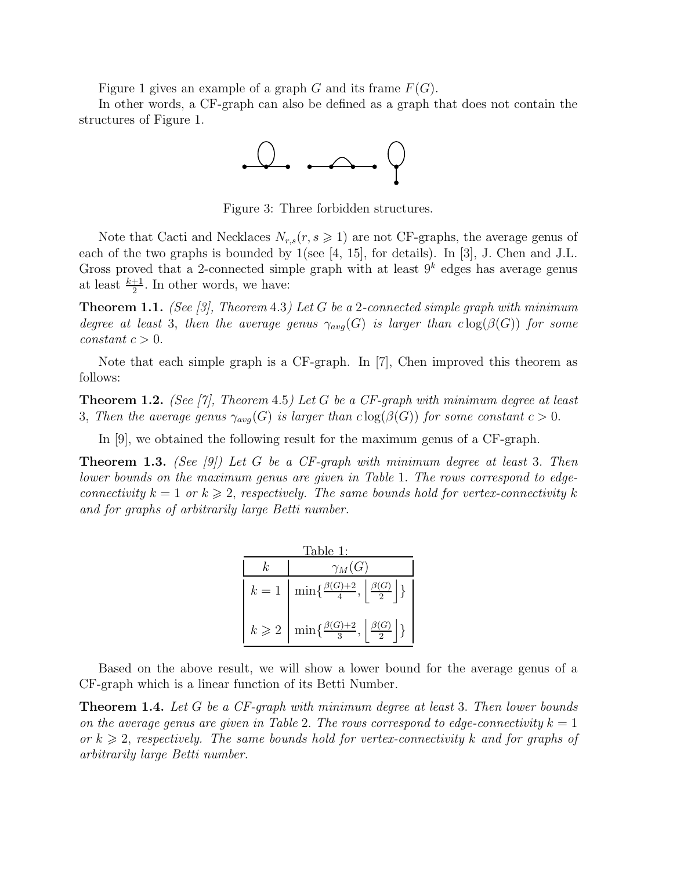Figure 1 gives an example of a graph G and its frame  $F(G)$ .

In other words, a CF-graph can also be defined as a graph that does not contain the structures of Figure 1.



Figure 3: Three forbidden structures.

Note that Cacti and Necklaces  $N_{r,s}(r, s \geq 1)$  are not CF-graphs, the average genus of each of the two graphs is bounded by 1(see [4, 15], for details). In [3], J. Chen and J.L. Gross proved that a 2-connected simple graph with at least  $9^k$  edges has average genus at least  $\frac{k+1}{2}$ . In other words, we have:

**Theorem 1.1.** (See [3], Theorem 4.3) Let G be a 2-connected simple graph with minimum degree at least 3, then the average genus  $\gamma_{avg}(G)$  is larger than  $c \log(\beta(G))$  for some  $constant \ c > 0.$ 

Note that each simple graph is a CF-graph. In [7], Chen improved this theorem as follows:

**Theorem 1.2.** (See [7], Theorem 4.5) Let G be a CF-graph with minimum degree at least 3, Then the average genus  $\gamma_{avg}(G)$  is larger than  $c \log(\beta(G))$  for some constant  $c > 0$ .

In [9], we obtained the following result for the maximum genus of a CF-graph.

**Theorem 1.3.** (See [9]) Let G be a CF-graph with minimum degree at least 3. Then lower bounds on the maximum genus are given in Table 1. The rows correspond to edgeconnectivity  $k = 1$  or  $k \geq 2$ , respectively. The same bounds hold for vertex-connectivity k and for graphs of arbitrarily large Betti number.

| Table 1: |                                                                                                        |  |  |  |
|----------|--------------------------------------------------------------------------------------------------------|--|--|--|
|          | $\gamma_M(G)$                                                                                          |  |  |  |
|          | $k = 1 \left[ \min \left\{ \frac{\beta(G) + 2}{4}, \left  \frac{\beta(G)}{2} \right  \right\} \right]$ |  |  |  |
|          | $k \geqslant 2 \mid \min\{\frac{\beta(G)+2}{3}, \left \frac{\beta(G)}{2}\right \}$                     |  |  |  |

Based on the above result, we will show a lower bound for the average genus of a CF-graph which is a linear function of its Betti Number.

Theorem 1.4. Let G be a CF-graph with minimum degree at least 3. Then lower bounds on the average genus are given in Table 2. The rows correspond to edge-connectivity  $k = 1$ or  $k \geqslant 2$ , respectively. The same bounds hold for vertex-connectivity k and for graphs of arbitrarily large Betti number.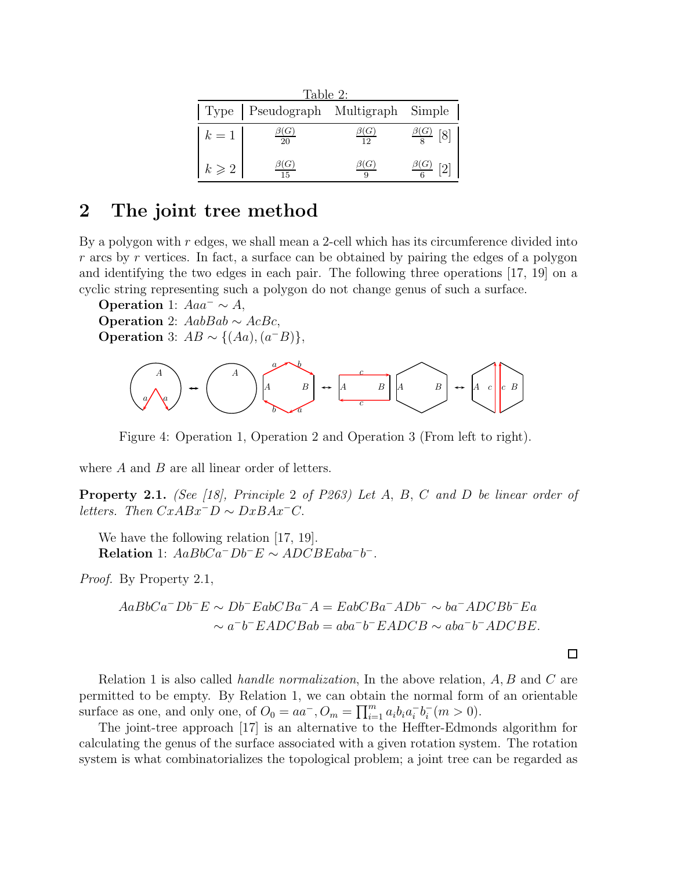| Table 2:        |                                    |    |  |  |
|-----------------|------------------------------------|----|--|--|
|                 | Type Pseudograph Multigraph Simple |    |  |  |
| $k=1$           | 20                                 | 19 |  |  |
| $k \geqslant 2$ |                                    |    |  |  |

#### 2 The joint tree method

By a polygon with  $r$  edges, we shall mean a 2-cell which has its circumference divided into r arcs by r vertices. In fact, a surface can be obtained by pairing the edges of a polygon and identifying the two edges in each pair. The following three operations [17, 19] on a cyclic string representing such a polygon do not change genus of such a surface.

Operation 1:  $Aaa^{-} \sim A$ , **Operation** 2:  $AabBab \sim AcBc$ , Operation 3:  $AB \sim \{(Aa), (a^{-}B)\},\,$ 



Figure 4: Operation 1, Operation 2 and Operation 3 (From left to right).

where  $A$  and  $B$  are all linear order of letters.

**Property 2.1.** (See [18], Principle 2 of P263) Let  $A$ ,  $B$ ,  $C$  and  $D$  be linear order of letters. Then  $CxABx^{-}D \sim DxBAx^{-}C$ .

We have the following relation [17, 19]. Relation 1:  $AaBbCa^{-}Db^{-}E \sim ADCBEaba^{-}b^{-}$ .

Proof. By Property 2.1,

$$
AabbCa^{-}Db^{-}E \sim Db^{-}EabCBa^{-}A = EabCBa^{-}ADb^{-} \sim ba^{-}ADCBb^{-}Ea
$$
  

$$
\sim a^{-}b^{-}EADCBab = aba^{-}b^{-}EADCB \sim aba^{-}b^{-}ADCBE.
$$

Relation 1 is also called *handle normalization*, In the above relation,  $A, B$  and  $C$  are permitted to be empty. By Relation 1, we can obtain the normal form of an orientable surface as one, and only one, of  $O_0 = aa^{-}$ ,  $O_m = \prod_{i=1}^{m} a_i b_i a_i^{-} b_i^{-}$   $(m > 0)$ .

The joint-tree approach [17] is an alternative to the Heffter-Edmonds algorithm for calculating the genus of the surface associated with a given rotation system. The rotation system is what combinatorializes the topological problem; a joint tree can be regarded as

 $\square$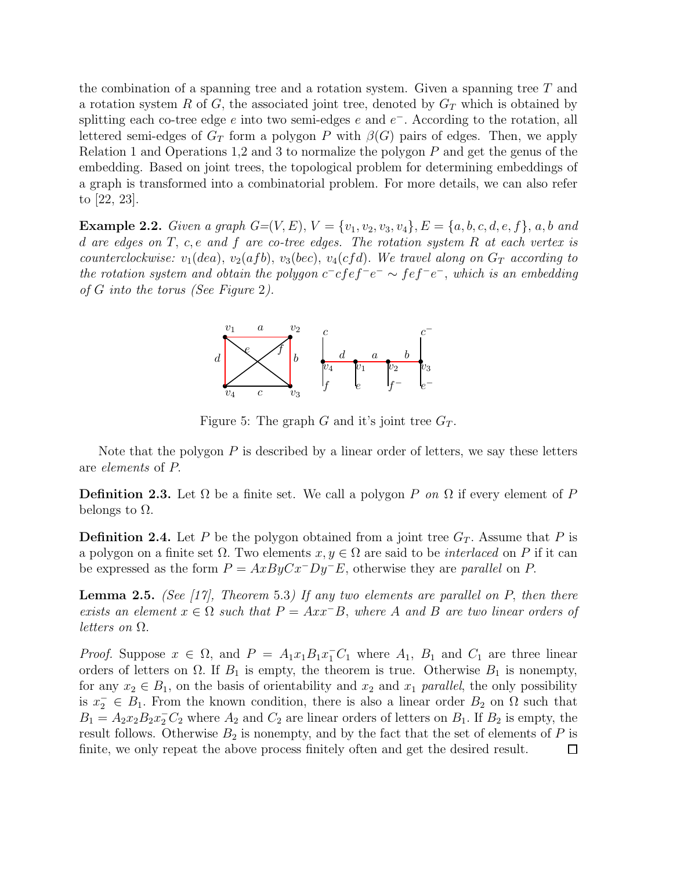the combination of a spanning tree and a rotation system. Given a spanning tree T and a rotation system R of G, the associated joint tree, denoted by  $G_T$  which is obtained by splitting each co-tree edge  $e$  into two semi-edges  $e$  and  $e^-$ . According to the rotation, all lettered semi-edges of  $G_T$  form a polygon P with  $\beta(G)$  pairs of edges. Then, we apply Relation 1 and Operations 1,2 and 3 to normalize the polygon P and get the genus of the embedding. Based on joint trees, the topological problem for determining embeddings of a graph is transformed into a combinatorial problem. For more details, we can also refer to [22, 23].

**Example 2.2.** Given a graph  $G=(V, E), V = \{v_1, v_2, v_3, v_4\}, E = \{a, b, c, d, e, f\}, a, b \text{ and } b \in \{v_1, v_2, v_3, v_4\}.$ d are edges on  $T$ , c, e and  $f$  are co-tree edges. The rotation system  $R$  at each vertex is counterclockwise:  $v_1(dea), v_2(afb), v_3(bec), v_4(cfd)$ . We travel along on  $G_T$  according to the rotation system and obtain the polygon  $c^- c f e f^- e^- \sim f e f^- e^-$ , which is an embedding of G into the torus (See Figure 2).



Figure 5: The graph G and it's joint tree  $G_T$ .

Note that the polygon  $P$  is described by a linear order of letters, we say these letters are elements of P.

**Definition 2.3.** Let  $\Omega$  be a finite set. We call a polygon P on  $\Omega$  if every element of P belongs to  $\Omega$ .

**Definition 2.4.** Let P be the polygon obtained from a joint tree  $G_T$ . Assume that P is a polygon on a finite set  $\Omega$ . Two elements  $x, y \in \Omega$  are said to be *interlaced* on P if it can be expressed as the form  $P = AxByCx^-Dy^-E$ , otherwise they are parallel on P.

**Lemma 2.5.** (See [17], Theorem 5.3) If any two elements are parallel on P, then there exists an element  $x \in \Omega$  such that  $P = Ax^T B$ , where A and B are two linear orders of letters on  $\Omega$ .

*Proof.* Suppose  $x \in \Omega$ , and  $P = A_1x_1B_1x_1^-C_1$  where  $A_1$ ,  $B_1$  and  $C_1$  are three linear orders of letters on  $\Omega$ . If  $B_1$  is empty, the theorem is true. Otherwise  $B_1$  is nonempty, for any  $x_2 \in B_1$ , on the basis of orientability and  $x_2$  and  $x_1$  parallel, the only possibility is  $x_2^- \in B_1$ . From the known condition, there is also a linear order  $B_2$  on  $\Omega$  such that  $B_1 = A_2 x_2 B_2 x_2 C_2$  where  $A_2$  and  $C_2$  are linear orders of letters on  $B_1$ . If  $B_2$  is empty, the result follows. Otherwise  $B_2$  is nonempty, and by the fact that the set of elements of P is finite, we only repeat the above process finitely often and get the desired result. $\Box$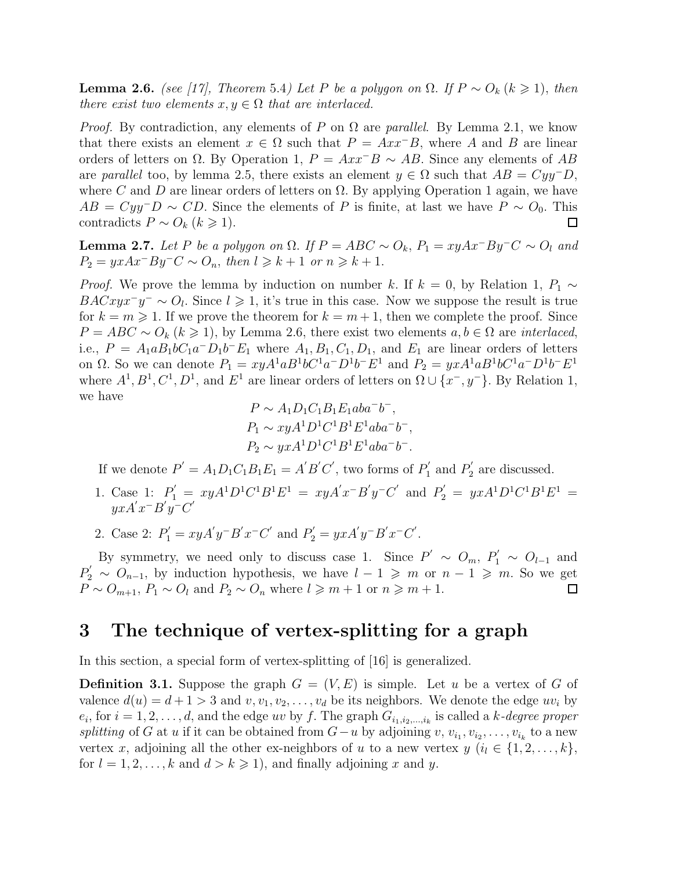**Lemma 2.6.** (see [17], Theorem 5.4) Let P be a polygon on  $\Omega$ . If  $P \sim O_k$  ( $k \geq 1$ ), then there exist two elements  $x, y \in \Omega$  that are interlaced.

*Proof.* By contradiction, any elements of P on  $\Omega$  are parallel. By Lemma 2.1, we know that there exists an element  $x \in \Omega$  such that  $P = Axx^{-}B$ , where A and B are linear orders of letters on  $\Omega$ . By Operation 1,  $P = Axx^{-}B \sim AB$ . Since any elements of AB are parallel too, by lemma 2.5, there exists an element  $y \in \Omega$  such that  $AB = Cyy^{-}D$ , where C and D are linear orders of letters on  $\Omega$ . By applying Operation 1 again, we have  $AB = Cyy^-D \sim CD$ . Since the elements of P is finite, at last we have  $P \sim O_0$ . This contradicts  $P \sim O_k (k \geq 1)$ . 囗

**Lemma 2.7.** Let P be a polygon on  $\Omega$ . If  $P = ABC \sim O_k$ ,  $P_1 = xyAx^{-}By^{-}C \sim O_l$  and  $P_2 = yxAx^-By^-C \sim O_n$ , then  $l \ge k+1$  or  $n \ge k+1$ .

*Proof.* We prove the lemma by induction on number k. If  $k = 0$ , by Relation 1,  $P_1 \sim$  $BACxyx^-y^- \sim O_l$ . Since  $l \geq 1$ , it's true in this case. Now we suppose the result is true for  $k = m \geq 1$ . If we prove the theorem for  $k = m + 1$ , then we complete the proof. Since  $P = ABC \sim O_k (k \geq 1)$ , by Lemma 2.6, there exist two elements  $a, b \in \Omega$  are *interlaced*, i.e.,  $P = A_1 a B_1 b C_1 a^- D_1 b^- E_1$  where  $A_1, B_1, C_1, D_1$ , and  $E_1$  are linear orders of letters on Ω. So we can denote  $P_1 = xyA^1aB^1bC^1a^-D^1b^-E^1$  and  $P_2 = yxA^1aB^1bC^1a^-D^1b^-E^1$ where  $A^1, B^1, C^1, D^1$ , and  $E^1$  are linear orders of letters on  $\Omega \cup \{x^-, y^-\}$ . By Relation 1, we have

$$
P \sim A_1 D_1 C_1 B_1 E_1 aba^-b^-,
$$
  
\n
$$
P_1 \sim xyA^1 D^1 C^1 B^1 E^1 aba^-b^-,
$$
  
\n
$$
P_2 \sim yxA^1 D^1 C^1 B^1 E^1 aba^-b^-.
$$

If we denote  $P' = A_1 D_1 C_1 B_1 E_1 = A'B'C'$ , two forms of  $P'_1$  $P'_1$  and  $P'_2$  $y_2'$  are discussed.

- 1. Case 1:  $P'_1 = xyA^1D^1C^1B^1E^1 = xyA'x^-B'y^-C'$  and  $P'_2 = yxA^1D^1C^1B^1E^1 =$  $yxA'x^-B'y^-C'$
- 2. Case 2:  $P'_1 = xyA'y^-B'x^-C'$  and  $P'_2 = yxA'y^-B'x^-C'$ .

By symmetry, we need only to discuss case 1. Since  $P' \sim O_m$ ,  $P'_1 \sim O_{l-1}$  and  $P'_2 \sim O_{n-1}$ , by induction hypothesis, we have  $l-1 \geq m$  or  $n-1 \geq m$ . So we get  $P \sim O_{m+1}$ ,  $P_1 \sim O_l$  and  $P_2 \sim O_n$  where  $l \geq m+1$  or  $n \geq m+1$ .  $\Box$ 

#### 3 The technique of vertex-splitting for a graph

In this section, a special form of vertex-splitting of [16] is generalized.

**Definition 3.1.** Suppose the graph  $G = (V, E)$  is simple. Let u be a vertex of G of valence  $d(u) = d + 1 > 3$  and  $v, v_1, v_2, \ldots, v_d$  be its neighbors. We denote the edge  $uv_i$  by  $e_i$ , for  $i = 1, 2, \ldots, d$ , and the edge uv by f. The graph  $G_{i_1, i_2, \ldots, i_k}$  is called a k-degree proper *splitting* of G at u if it can be obtained from  $G-u$  by adjoining  $v, v_{i_1}, v_{i_2}, \ldots, v_{i_k}$  to a new vertex x, adjoining all the other ex-neighbors of u to a new vertex  $y$   $(i_l \in \{1, 2, ..., k\})$ , for  $l = 1, 2, \ldots, k$  and  $d > k \ge 1$ , and finally adjoining x and y.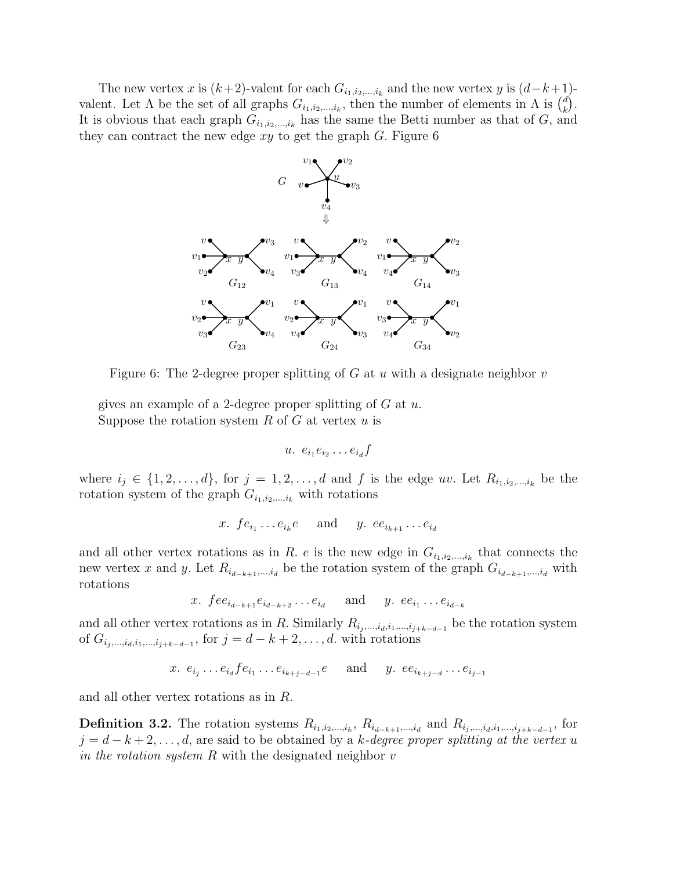The new vertex x is  $(k+2)$ -valent for each  $G_{i_1,i_2,\dots,i_k}$  and the new vertex y is  $(d-k+1)$ valent. Let  $\Lambda$  be the set of all graphs  $G_{i_1,i_2,...,i_k}$ , then the number of elements in  $\Lambda$  is  $\binom{d}{k}$  $\binom{d}{k}$ . It is obvious that each graph  $G_{i_1,i_2,...,i_k}$  has the same the Betti number as that of G, and they can contract the new edge  $xy$  to get the graph G. Figure 6



Figure 6: The 2-degree proper splitting of G at u with a designate neighbor  $v$ 

gives an example of a 2-degree proper splitting of  $G$  at  $u$ . Suppose the rotation system R of G at vertex  $u$  is

$$
u. e_{i_1}e_{i_2}\ldots e_{i_d}f
$$

where  $i_j \in \{1, 2, \ldots, d\}$ , for  $j = 1, 2, \ldots, d$  and f is the edge uv. Let  $R_{i_1, i_2, \ldots, i_k}$  be the rotation system of the graph  $G_{i_1,i_2,...,i_k}$  with rotations

$$
x. \, fe_{i_1} \ldots e_{i_k} e
$$
 and  $y. \, ee_{i_{k+1}} \ldots e_{i_d}$ 

and all other vertex rotations as in R. e is the new edge in  $G_{i_1,i_2,...,i_k}$  that connects the new vertex x and y. Let  $R_{i_{d-k+1},...,i_d}$  be the rotation system of the graph  $G_{i_{d-k+1},...,i_d}$  with rotations

*x*. 
$$
fee_{i_{d-k+1}}e_{i_{d-k+2}}...e_{i_d}
$$
 and *y*.  $ee_{i_1}...e_{i_{d-k}}$ 

and all other vertex rotations as in R. Similarly  $R_{i_j,\dots,i_d,i_1,\dots,i_{j+k-d-1}}$  be the rotation system of  $G_{i_j,...,i_d,i_1,...,i_{j+k-d-1}}$ , for  $j = d - k + 2,...,d$ . with rotations

*x*. 
$$
e_{i_j} \ldots e_{i_d} f e_{i_1} \ldots e_{i_{k+j-d-1}} e
$$
 and *y*.  $ee_{i_{k+j-d}} \ldots e_{i_{j-1}}$ 

and all other vertex rotations as in R.

**Definition 3.2.** The rotation systems  $R_{i_1,i_2,...,i_k}$ ,  $R_{i_{d-k+1},...,i_d}$  and  $R_{i_j,...,i_d,i_1,...,i_{j+k-d-1}}$ , for  $j = d - k + 2, \ldots, d$ , are said to be obtained by a k-degree proper splitting at the vertex u in the rotation system  $R$  with the designated neighbor  $v$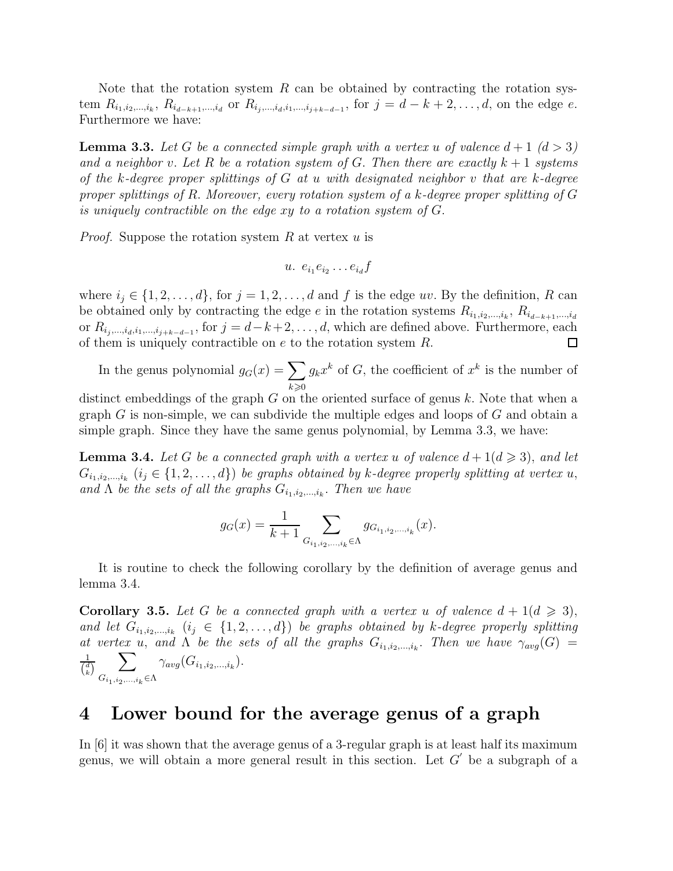Note that the rotation system R can be obtained by contracting the rotation system  $R_{i_1,i_2,...,i_k}$ ,  $R_{i_{d-k+1},...,i_d}$  or  $R_{i_j,...,i_d,i_1,...,i_{j+k-d-1}}$ , for  $j = d-k+2,...,d$ , on the edge e. Furthermore we have:

**Lemma 3.3.** Let G be a connected simple graph with a vertex u of valence  $d+1$   $(d>3)$ and a neighbor v. Let R be a rotation system of G. Then there are exactly  $k+1$  systems of the k-degree proper splittings of  $G$  at u with designated neighbor v that are k-degree proper splittings of R. Moreover, every rotation system of a k-degree proper splitting of G is uniquely contractible on the edge xy to a rotation system of G.

*Proof.* Suppose the rotation system R at vertex u is

$$
u. e_{i_1}e_{i_2}\ldots e_{i_d}f
$$

where  $i_j \in \{1, 2, \ldots, d\}$ , for  $j = 1, 2, \ldots, d$  and f is the edge uv. By the definition, R can be obtained only by contracting the edge  $e$  in the rotation systems  $R_{i_1,i_2,\dots,i_k}, R_{i_{d-k+1},...,i_d}$ or  $R_{i_j,\dots,i_d,i_1,\dots,i_{j+k-d-1}}$ , for  $j=d-k+2,\dots,d$ , which are defined above. Furthermore, each of them is uniquely contractible on e to the rotation system R.  $\Box$ 

In the genus polynomial  $g_G(x) = \sum$  $k\!\geqslant\!\!0$  $g_k x^k$  of G, the coefficient of  $x^k$  is the number of

distinct embeddings of the graph  $G$  on the oriented surface of genus  $k$ . Note that when a graph  $G$  is non-simple, we can subdivide the multiple edges and loops of  $G$  and obtain a simple graph. Since they have the same genus polynomial, by Lemma 3.3, we have:

**Lemma 3.4.** Let G be a connected graph with a vertex u of valence  $d+1(d\geqslant 3)$ , and let  $G_{i_1,i_2,...,i_k}$   $(i_j \in \{1,2,...,d\})$  be graphs obtained by k-degree properly splitting at vertex  $u$ , and  $\Lambda$  be the sets of all the graphs  $G_{i_1,i_2,\dots,i_k}$ . Then we have

$$
g_G(x) = \frac{1}{k+1} \sum_{G_{i_1,i_2,\dots,i_k} \in \Lambda} g_{G_{i_1,i_2,\dots,i_k}}(x).
$$

It is routine to check the following corollary by the definition of average genus and lemma 3.4.

**Corollary 3.5.** Let G be a connected graph with a vertex u of valence  $d + 1(d \geq 3)$ , and let  $G_{i_1,i_2,...,i_k}$   $(i_j \in \{1,2,...,d\})$  be graphs obtained by k-degree properly splitting at vertex u, and  $\Lambda$  be the sets of all the graphs  $G_{i_1,i_2,...,i_k}$ . Then we have  $\gamma_{avg}(G)$  = 1  $\binom{d}{k}$  $\sum$  $G_{i_1,i_2,...,i_k}$  $\in$ A  $\gamma_{avg}(G_{i_1,i_2,...,i_k}).$ 

#### 4 Lower bound for the average genus of a graph

In [6] it was shown that the average genus of a 3-regular graph is at least half its maximum genus, we will obtain a more general result in this section. Let  $G'$  be a subgraph of a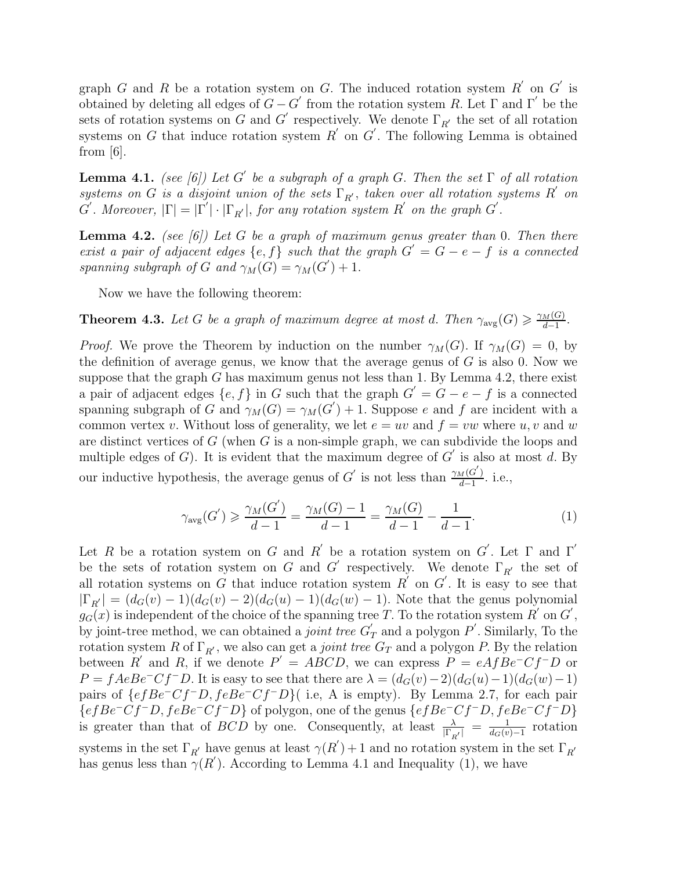graph G and R be a rotation system on G. The induced rotation system  $R'$  on  $G'$  is obtained by deleting all edges of  $G - G'$  from the rotation system R. Let Γ and Γ' be the sets of rotation systems on G and G' respectively. We denote  $\Gamma_{R'}$  the set of all rotation systems on G that induce rotation system  $R'$  on  $G'$ . The following Lemma is obtained from [6].

**Lemma 4.1.** (see [6]) Let G' be a subgraph of a graph G. Then the set  $\Gamma$  of all rotation systems on G is a disjoint union of the sets  $\Gamma_{R'}$ , taken over all rotation systems R' on  $G'$ . Moreover,  $|\Gamma| = |\Gamma'| \cdot |\Gamma_{R'}|$ , for any rotation system R' on the graph G'.

**Lemma 4.2.** (see [6]) Let G be a graph of maximum genus greater than 0. Then there exist a pair of adjacent edges  $\{e, f\}$  such that the graph  $G' = G - e - f$  is a connected spanning subgraph of G and  $\gamma_M(G) = \gamma_M(G') + 1$ .

Now we have the following theorem:

**Theorem 4.3.** Let G be a graph of maximum degree at most d. Then  $\gamma_{\text{avg}}(G) \geq \frac{\gamma_M(G)}{d-1}$  $\frac{M(G)}{d-1}$ .

*Proof.* We prove the Theorem by induction on the number  $\gamma_M(G)$ . If  $\gamma_M(G) = 0$ , by the definition of average genus, we know that the average genus of  $G$  is also 0. Now we suppose that the graph G has maximum genus not less than 1. By Lemma 4.2, there exist a pair of adjacent edges  $\{e, f\}$  in G such that the graph  $G' = G - e - f$  is a connected spanning subgraph of G and  $\gamma_M(G) = \gamma_M(G') + 1$ . Suppose e and f are incident with a common vertex v. Without loss of generality, we let  $e = uv$  and  $f = vw$  where u, v and w are distinct vertices of G (when G is a non-simple graph, we can subdivide the loops and multiple edges of G). It is evident that the maximum degree of G' is also at most d. By our inductive hypothesis, the average genus of G' is not less than  $\frac{\gamma_M(G')}{d-1}$  $\frac{d^{(G)}(G)}{d-1}$ . i.e.,

$$
\gamma_{\text{avg}}(G') \ge \frac{\gamma_M(G')}{d-1} = \frac{\gamma_M(G)-1}{d-1} = \frac{\gamma_M(G)}{d-1} - \frac{1}{d-1}.\tag{1}
$$

Let R be a rotation system on G and R' be a rotation system on G'. Let  $\Gamma$  and  $\Gamma'$ be the sets of rotation system on G and G' respectively. We denote  $\Gamma_{R'}$  the set of all rotation systems on G that induce rotation system  $R^{'}$  on G'. It is easy to see that  $|\Gamma_{R'}| = (d_G(v) - 1)(d_G(v) - 2)(d_G(u) - 1)(d_G(w) - 1)$ . Note that the genus polynomial  $g_G(x)$  is independent of the choice of the spanning tree T. To the rotation system R' on G', by joint-tree method, we can obtained a *joint tree*  $G'_{\mathcal{I}}$  $T_T$  and a polygon  $P'$ . Similarly, To the rotation system R of  $\Gamma_{R}$ <sup>'</sup>, we also can get a *joint tree*  $G_T$  and a polygon P. By the relation between R' and R, if we denote  $P' = ABCD$ , we can express  $P = eA fBe^{-}Cf^{-}D$  or  $P = fAeBe-Cf-D$ . It is easy to see that there are  $\lambda = (d_G(v)-2)(d_G(u)-1)(d_G(w)-1)$ pairs of  $\{efBe^-Cf^-D, feBe^-Cf^-D\}$  i.e, A is empty). By Lemma 2.7, for each pair  ${efBe-Cf-D, feBe-Cf-D}$  of polygon, one of the genus  ${efBe-Cf-D, feBe-Cf-D}$ is greater than that of *BCD* by one. Consequently, at least  $\frac{\lambda}{|\Gamma_{R'}|} = \frac{1}{d_G(v)}$  $\frac{1}{d_G(v)-1}$  rotation systems in the set  $\Gamma_{R'}$  have genus at least  $\gamma(R')+1$  and no rotation system in the set  $\Gamma_{R'}$ has genus less than  $\gamma(R')$ . According to Lemma 4.1 and Inequality (1), we have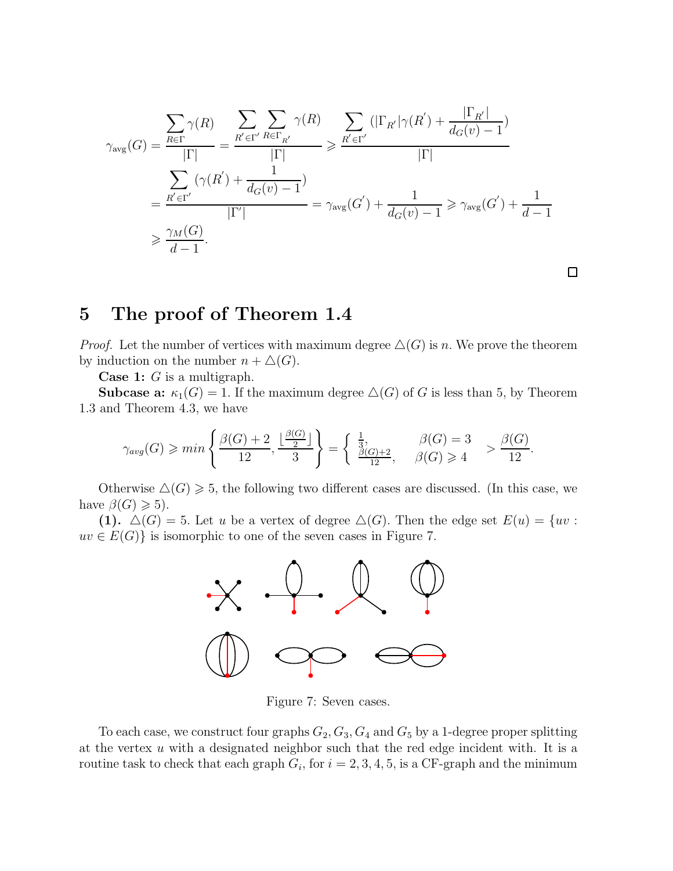$$
\gamma_{\text{avg}}(G) = \frac{\sum_{R \in \Gamma} \gamma(R)}{|\Gamma|} = \frac{\sum_{R' \in \Gamma'} \sum_{R \in \Gamma_{R'}} \gamma(R)}{|\Gamma|} \ge \frac{\sum_{R' \in \Gamma'} (|\Gamma_{R'}| \gamma(R') + \frac{|\Gamma_{R'}|}{d_G(v) - 1})}{|\Gamma|}
$$
  

$$
= \frac{\sum_{R' \in \Gamma'} (\gamma(R') + \frac{1}{d_G(v) - 1})}{|\Gamma'|} = \gamma_{\text{avg}}(G') + \frac{1}{d_G(v) - 1} \ge \gamma_{\text{avg}}(G') + \frac{1}{d - 1}
$$
  

$$
\ge \frac{\gamma_M(G)}{d - 1}.
$$

 $\Box$ 

# 5 The proof of Theorem 1.4

*Proof.* Let the number of vertices with maximum degree  $\Delta(G)$  is n. We prove the theorem by induction on the number  $n + \Delta(G)$ .

**Case 1:**  $G$  is a multigraph.

**Subcase a:**  $\kappa_1(G) = 1$ . If the maximum degree  $\Delta(G)$  of G is less than 5, by Theorem 1.3 and Theorem 4.3, we have

$$
\gamma_{avg}(G) \geqslant \min\left\{\frac{\beta(G)+2}{12}, \frac{\lfloor \frac{\beta(G)}{2} \rfloor}{3}\right\} = \left\{\begin{array}{ll} \frac{1}{3}, & \beta(G)=3\\ \frac{\beta(G)+2}{12}, & \beta(G)\geqslant 4 \end{array}\right. > \frac{\beta(G)}{12}.
$$

Otherwise  $\Delta(G) \geq 5$ , the following two different cases are discussed. (In this case, we have  $\beta(G) \geqslant 5$ ).

(1).  $\Delta(G) = 5$ . Let u be a vertex of degree  $\Delta(G)$ . Then the edge set  $E(u) = \{uv :$  $uv \in E(G)$  is isomorphic to one of the seven cases in Figure 7.



Figure 7: Seven cases.

To each case, we construct four graphs  $G_2, G_3, G_4$  and  $G_5$  by a 1-degree proper splitting at the vertex  $u$  with a designated neighbor such that the red edge incident with. It is a routine task to check that each graph  $G_i$ , for  $i = 2, 3, 4, 5$ , is a CF-graph and the minimum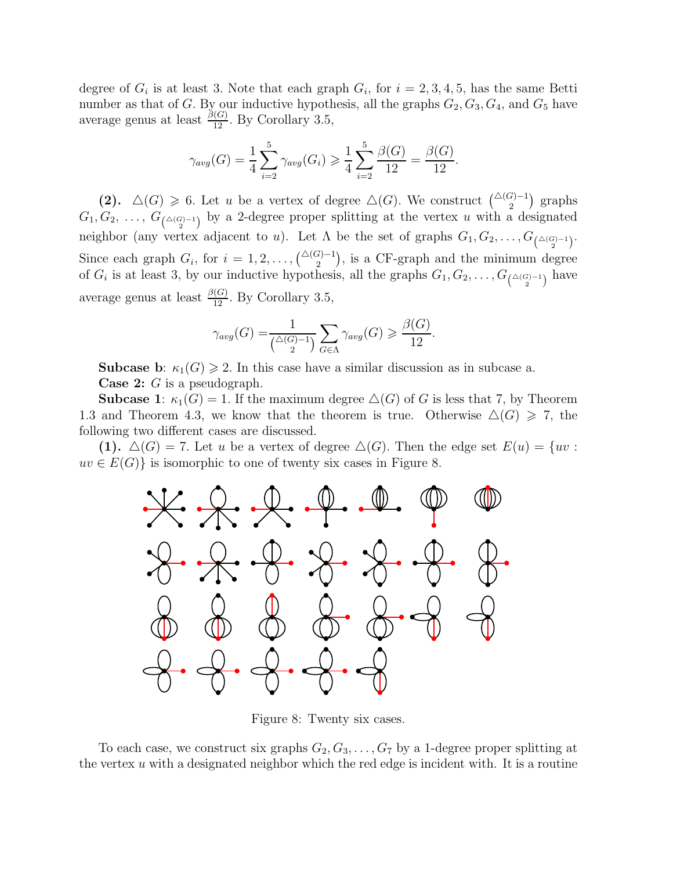degree of  $G_i$  is at least 3. Note that each graph  $G_i$ , for  $i = 2, 3, 4, 5$ , has the same Betti number as that of G. By our inductive hypothesis, all the graphs  $G_2, G_3, G_4$ , and  $G_5$  have average genus at least  $\frac{\beta(G)}{12}$ . By Corollary 3.5,

$$
\gamma_{avg}(G) = \frac{1}{4} \sum_{i=2}^{5} \gamma_{avg}(G_i) \ge \frac{1}{4} \sum_{i=2}^{5} \frac{\beta(G)}{12} = \frac{\beta(G)}{12}.
$$

(2).  $\Delta(G) \geq 6$ . Let u be a vertex of degree  $\Delta(G)$ . We construct  $\binom{\Delta(G)-1}{2}$  graphs  $G_1, G_2, \ldots, G_{\binom{\Delta(G)-1}{2}}$  by a 2-degree proper splitting at the vertex u with a designated neighbor (any vertex adjacent to u). Let  $\Lambda$  be the set of graphs  $G_1, G_2, \ldots, G_{\binom{\Delta(G)-1}{2}}$ . Since each graph  $G_i$ , for  $i = 1, 2, ..., {\binom{\triangle(G)-1}{2}}$ , is a CF-graph and the minimum degree of  $G_i$  is at least 3, by our inductive hypothesis, all the graphs  $G_1, G_2, \ldots, G_{\binom{\Delta(G)-1}{2}}$  have average genus at least  $\frac{\beta(G)}{12}$ . By Corollary 3.5,

$$
\gamma_{avg}(G) = \frac{1}{\binom{\Delta(G)-1}{2}} \sum_{G \in \Lambda} \gamma_{avg}(G) \ge \frac{\beta(G)}{12}.
$$

**Subcase b:**  $\kappa_1(G) \geq 2$ . In this case have a similar discussion as in subcase a. **Case 2:**  $G$  is a pseudograph.

**Subcase 1:**  $\kappa_1(G) = 1$ . If the maximum degree  $\Delta(G)$  of G is less that 7, by Theorem 1.3 and Theorem 4.3, we know that the theorem is true. Otherwise  $\Delta(G) \geq 7$ , the following two different cases are discussed.

(1).  $\Delta(G) = 7$ . Let u be a vertex of degree  $\Delta(G)$ . Then the edge set  $E(u) = \{uv :$  $uv \in E(G)$  is isomorphic to one of twenty six cases in Figure 8.



Figure 8: Twenty six cases.

To each case, we construct six graphs  $G_2, G_3, \ldots, G_7$  by a 1-degree proper splitting at the vertex  $u$  with a designated neighbor which the red edge is incident with. It is a routine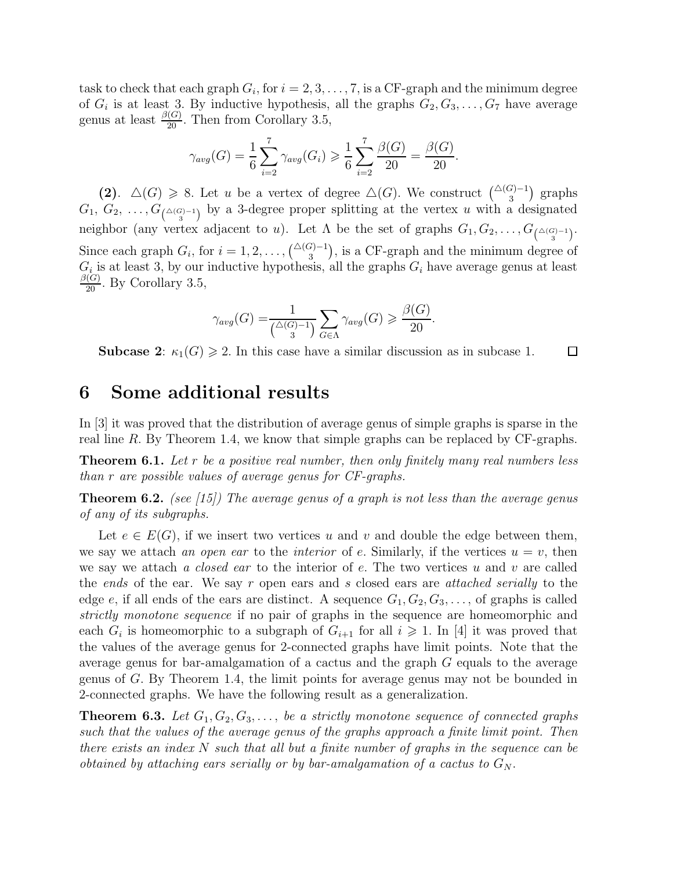task to check that each graph  $G_i$ , for  $i = 2, 3, ..., 7$ , is a CF-graph and the minimum degree of  $G_i$  is at least 3. By inductive hypothesis, all the graphs  $G_2, G_3, \ldots, G_7$  have average genus at least  $\frac{\beta(G)}{20}$ . Then from Corollary 3.5,

$$
\gamma_{avg}(G) = \frac{1}{6} \sum_{i=2}^{7} \gamma_{avg}(G_i) \ge \frac{1}{6} \sum_{i=2}^{7} \frac{\beta(G)}{20} = \frac{\beta(G)}{20}.
$$

(2).  $\Delta(G) \geq 8$ . Let u be a vertex of degree  $\Delta(G)$ . We construct  $\binom{\Delta(G)-1}{3}$  graphs  $G_1, G_2, \ldots, G_{\binom{\Delta(G)-1}{3}}$  by a 3-degree proper splitting at the vertex u with a designated neighbor (any vertex adjacent to u). Let  $\Lambda$  be the set of graphs  $G_1, G_2, \ldots, G_{\binom{\Delta(G)-1}{3}}$ . Since each graph  $G_i$ , for  $i = 1, 2, ..., {\binom{\Delta(G)-1}{3}}$ , is a CF-graph and the minimum degree of  $G_i$  is at least 3, by our inductive hypothesis, all the graphs  $G_i$  have average genus at least  $\frac{\beta(G)}{20}$ . By Corollary 3.5,

$$
\gamma_{avg}(G) = \frac{1}{\binom{\triangle(G)-1}{3}} \sum_{G \in \Lambda} \gamma_{avg}(G) \ge \frac{\beta(G)}{20}.
$$

**Subcase 2:**  $\kappa_1(G) \geq 2$ . In this case have a similar discussion as in subcase 1.  $\Box$ 

#### 6 Some additional results

In [3] it was proved that the distribution of average genus of simple graphs is sparse in the real line R. By Theorem 1.4, we know that simple graphs can be replaced by CF-graphs.

**Theorem 6.1.** Let r be a positive real number, then only finitely many real numbers less than r are possible values of average genus for CF-graphs.

**Theorem 6.2.** (see [15]) The average genus of a graph is not less than the average genus of any of its subgraphs.

Let  $e \in E(G)$ , if we insert two vertices u and v and double the edge between them, we say we attach an open ear to the interior of e. Similarly, if the vertices  $u = v$ , then we say we attach a *closed ear* to the interior of  $e$ . The two vertices u and v are called the ends of the ear. We say r open ears and s closed ears are *attached serially* to the edge e, if all ends of the ears are distinct. A sequence  $G_1, G_2, G_3, \ldots$ , of graphs is called strictly monotone sequence if no pair of graphs in the sequence are homeomorphic and each  $G_i$  is homeomorphic to a subgraph of  $G_{i+1}$  for all  $i \geq 1$ . In [4] it was proved that the values of the average genus for 2-connected graphs have limit points. Note that the average genus for bar-amalgamation of a cactus and the graph G equals to the average genus of G. By Theorem 1.4, the limit points for average genus may not be bounded in 2-connected graphs. We have the following result as a generalization.

**Theorem 6.3.** Let  $G_1, G_2, G_3, \ldots$ , be a strictly monotone sequence of connected graphs such that the values of the average genus of the graphs approach a finite limit point. Then there exists an index N such that all but a finite number of graphs in the sequence can be obtained by attaching ears serially or by bar-amalgamation of a cactus to  $G_N$ .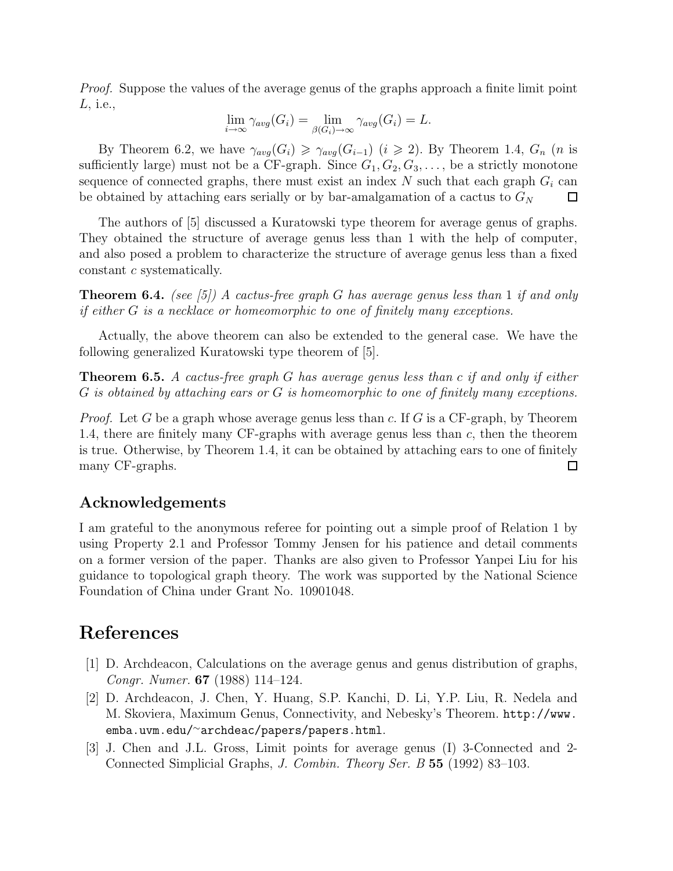Proof. Suppose the values of the average genus of the graphs approach a finite limit point L, i.e.,

$$
\lim_{i \to \infty} \gamma_{avg}(G_i) = \lim_{\beta(G_i) \to \infty} \gamma_{avg}(G_i) = L.
$$

By Theorem 6.2, we have  $\gamma_{avg}(G_i) \geq \gamma_{avg}(G_{i-1})$   $(i \geq 2)$ . By Theorem 1.4,  $G_n$  (*n* is sufficiently large) must not be a CF-graph. Since  $G_1, G_2, G_3, \ldots$ , be a strictly monotone sequence of connected graphs, there must exist an index  $N$  such that each graph  $G_i$  can be obtained by attaching ears serially or by bar-amalgamation of a cactus to  $G_N$ □

The authors of [5] discussed a Kuratowski type theorem for average genus of graphs. They obtained the structure of average genus less than 1 with the help of computer, and also posed a problem to characterize the structure of average genus less than a fixed constant c systematically.

**Theorem 6.4.** (see [5]) A cactus-free graph G has average genus less than 1 if and only if either G is a necklace or homeomorphic to one of finitely many exceptions.

Actually, the above theorem can also be extended to the general case. We have the following generalized Kuratowski type theorem of [5].

Theorem 6.5. A cactus-free graph G has average genus less than c if and only if either G is obtained by attaching ears or G is homeomorphic to one of finitely many exceptions.

*Proof.* Let G be a graph whose average genus less than c. If G is a CF-graph, by Theorem 1.4, there are finitely many CF-graphs with average genus less than  $c$ , then the theorem is true. Otherwise, by Theorem 1.4, it can be obtained by attaching ears to one of finitely many CF-graphs.  $\Box$ 

#### Acknowledgements

I am grateful to the anonymous referee for pointing out a simple proof of Relation 1 by using Property 2.1 and Professor Tommy Jensen for his patience and detail comments on a former version of the paper. Thanks are also given to Professor Yanpei Liu for his guidance to topological graph theory. The work was supported by the National Science Foundation of China under Grant No. 10901048.

## References

- [1] D. Archdeacon, Calculations on the average genus and genus distribution of graphs, Congr. Numer. 67 (1988) 114–124.
- [2] D. Archdeacon, J. Chen, Y. Huang, S.P. Kanchi, D. Li, Y.P. Liu, R. Nedela and M. Skoviera, Maximum Genus, Connectivity, and Nebesky's Theorem. http://www. emba.uvm.edu/<sup>∼</sup>archdeac/papers/papers.html.
- [3] J. Chen and J.L. Gross, Limit points for average genus (I) 3-Connected and 2- Connected Simplicial Graphs, J. Combin. Theory Ser. B 55 (1992) 83–103.